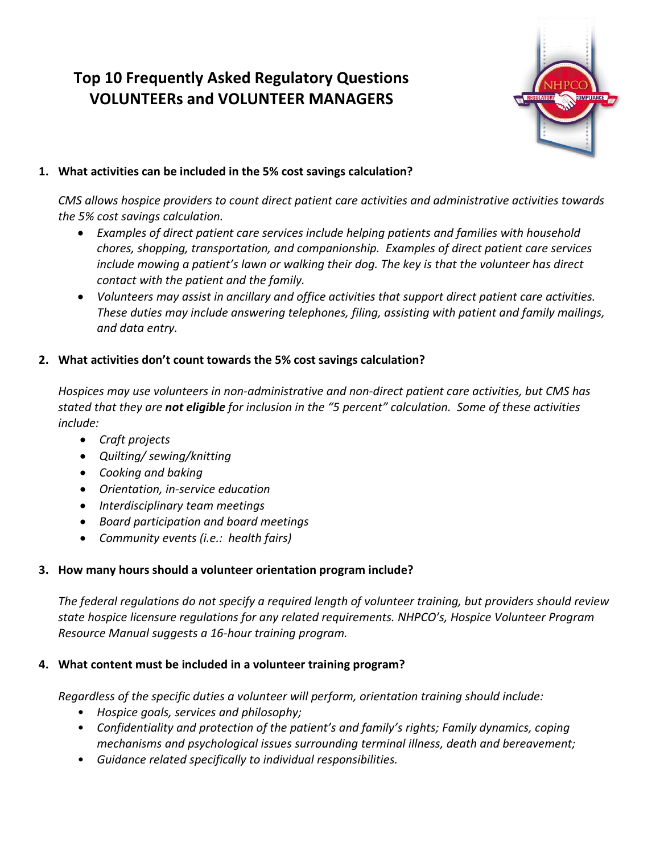# **Top 10 Frequently Asked Regulatory Questions VOLUNTEERs and VOLUNTEER MANAGERS**



# **1. What activities can be included in the 5% cost savings calculation?**

*CMS allows hospice providers to count direct patient care activities and administrative activities towards the 5% cost savings calculation.* 

- *Examples of direct patient care services include helping patients and families with household chores, shopping, transportation, and companionship. Examples of direct patient care services include mowing a patient's lawn or walking their dog. The key is that the volunteer has direct contact with the patient and the family.*
- *Volunteers may assist in ancillary and office activities that support direct patient care activities. These duties may include answering telephones, filing, assisting with patient and family mailings, and data entry.*

# **2. What activities don't count towards the 5% cost savings calculation?**

*Hospices may use volunteers in non-administrative and non-direct patient care activities, but CMS has stated that they are not eligible for inclusion in the "5 percent" calculation. Some of these activities include:*

- *Craft projects*
- *Quilting/ sewing/knitting*
- *Cooking and baking*
- *Orientation, in-service education*
- *Interdisciplinary team meetings*
- *Board participation and board meetings*
- *Community events (i.e.: health fairs)*

# **3. How many hours should a volunteer orientation program include?**

*The federal regulations do not specify a required length of volunteer training, but providers should review state hospice licensure regulations for any related requirements. NHPCO's, Hospice Volunteer Program Resource Manual suggests a 16-hour training program.*

# **4. What content must be included in a volunteer training program?**

*Regardless of the specific duties a volunteer will perform, orientation training should include:*

- *Hospice goals, services and philosophy;*
- *Confidentiality and protection of the patient's and family's rights; Family dynamics, coping mechanisms and psychological issues surrounding terminal illness, death and bereavement;*
- *Guidance related specifically to individual responsibilities.*